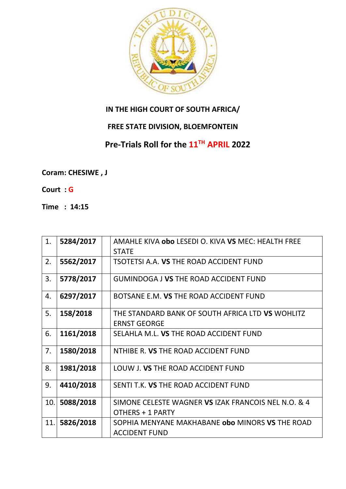

## **IN THE HIGH COURT OF SOUTH AFRICA/**

## **FREE STATE DIVISION, BLOEMFONTEIN**

## **Pre-Trials Roll for the 11TH APRIL 2022**

**Coram: CHESIWE , J** 

- **Court : G**
- **Time : 14:15**

| 1.  | 5284/2017 | AMAHLE KIVA obo LESEDI O. KIVA VS MEC: HEALTH FREE  |
|-----|-----------|-----------------------------------------------------|
|     |           | <b>STATE</b>                                        |
| 2.  | 5562/2017 | TSOTETSI A.A. VS THE ROAD ACCIDENT FUND             |
|     |           |                                                     |
| 3.  | 5778/2017 | <b>GUMINDOGA J VS THE ROAD ACCIDENT FUND</b>        |
|     |           |                                                     |
| 4.  | 6297/2017 | BOTSANE E.M. VS THE ROAD ACCIDENT FUND              |
| 5.  | 158/2018  | THE STANDARD BANK OF SOUTH AFRICA LTD VS WOHLITZ    |
|     |           | <b>ERNST GEORGE</b>                                 |
| 6.  | 1161/2018 | SELAHLA M.L. VS THE ROAD ACCIDENT FUND              |
|     |           |                                                     |
| 7.  | 1580/2018 | NTHIBE R. VS THE ROAD ACCIDENT FUND                 |
|     |           |                                                     |
| 8.  | 1981/2018 | LOUW J. VS THE ROAD ACCIDENT FUND                   |
|     |           |                                                     |
| 9.  | 4410/2018 | SENTI T.K. VS THE ROAD ACCIDENT FUND                |
|     |           |                                                     |
| 10. | 5088/2018 | SIMONE CELESTE WAGNER VS IZAK FRANCOIS NEL N.O. & 4 |
|     |           | OTHERS + 1 PARTY                                    |
| 11. | 5826/2018 | SOPHIA MENYANE MAKHABANE obo MINORS VS THE ROAD     |
|     |           | <b>ACCIDENT FUND</b>                                |
|     |           |                                                     |